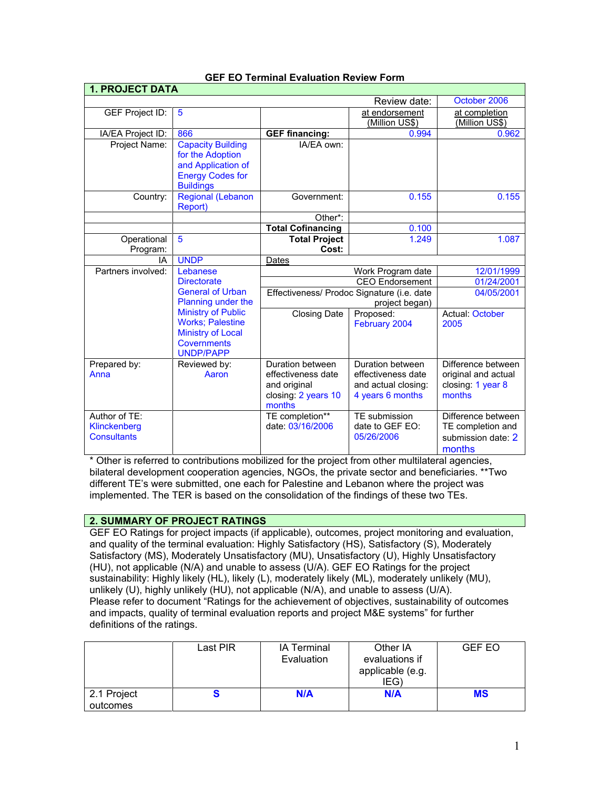| <b>1. PROJECT DATA</b>       |                                                |                                  |                                            |                          |  |
|------------------------------|------------------------------------------------|----------------------------------|--------------------------------------------|--------------------------|--|
| October 2006<br>Review date: |                                                |                                  |                                            |                          |  |
| <b>GEF Project ID:</b>       | 5                                              |                                  | at endorsement                             | at completion            |  |
|                              |                                                |                                  | (Million US\$)                             | (Million US\$)           |  |
| IA/EA Project ID:            | 866                                            | <b>GEF financing:</b>            | 0.994                                      | 0.962                    |  |
| Project Name:                | <b>Capacity Building</b>                       | IA/EA own:                       |                                            |                          |  |
|                              | for the Adoption                               |                                  |                                            |                          |  |
|                              | and Application of                             |                                  |                                            |                          |  |
|                              | <b>Energy Codes for</b>                        |                                  |                                            |                          |  |
|                              | <b>Buildings</b>                               |                                  |                                            |                          |  |
| Country:                     | <b>Regional (Lebanon</b><br>Report)            | Government:                      | 0.155                                      | 0.155                    |  |
|                              |                                                | Other*:                          |                                            |                          |  |
|                              |                                                | <b>Total Cofinancing</b>         | 0.100                                      |                          |  |
| Operational                  | 5                                              | <b>Total Project</b>             | 1.249                                      | 1.087                    |  |
| Program:                     |                                                | Cost:                            |                                            |                          |  |
| IA                           | <b>UNDP</b>                                    | Dates                            |                                            |                          |  |
| Partners involved:           | Lebanese                                       |                                  | Work Program date                          | 12/01/1999               |  |
|                              | <b>Directorate</b>                             | CEO Endorsement                  |                                            | 01/24/2001<br>04/05/2001 |  |
|                              | <b>General of Urban</b>                        |                                  | Effectiveness/ Prodoc Signature (i.e. date |                          |  |
|                              | Planning under the                             |                                  | project began)                             |                          |  |
|                              | <b>Ministry of Public</b>                      | Proposed:<br><b>Closing Date</b> |                                            | <b>Actual: October</b>   |  |
|                              | <b>Works</b> ; Palestine                       |                                  | February 2004                              | 2005                     |  |
|                              | <b>Ministry of Local</b><br><b>Covernments</b> |                                  |                                            |                          |  |
|                              | <b>UNDP/PAPP</b>                               |                                  |                                            |                          |  |
| Prepared by:                 | Reviewed by:                                   | Duration between                 | Duration between                           | Difference between       |  |
| Anna                         | Aaron                                          | effectiveness date               | effectiveness date                         | original and actual      |  |
|                              |                                                | and original                     | and actual closing:                        | closing: 1 year 8        |  |
|                              |                                                | closing: 2 years 10              | 4 years 6 months                           | months                   |  |
|                              |                                                | months                           |                                            |                          |  |
| Author of TE:                |                                                | TE completion**                  | TE submission                              | Difference between       |  |
| Klinckenberg                 |                                                | date: 03/16/2006                 | date to GEF EO:                            | TE completion and        |  |
| <b>Consultants</b>           |                                                |                                  | 05/26/2006                                 | submission date: 2       |  |
|                              |                                                |                                  |                                            | months                   |  |

## **GEF EO Terminal Evaluation Review Form**

\* Other is referred to contributions mobilized for the project from other multilateral agencies, bilateral development cooperation agencies, NGOs, the private sector and beneficiaries. \*\*Two different TE's were submitted, one each for Palestine and Lebanon where the project was implemented. The TER is based on the consolidation of the findings of these two TEs.

## **2. SUMMARY OF PROJECT RATINGS**

GEF EO Ratings for project impacts (if applicable), outcomes, project monitoring and evaluation, and quality of the terminal evaluation: Highly Satisfactory (HS), Satisfactory (S), Moderately Satisfactory (MS), Moderately Unsatisfactory (MU), Unsatisfactory (U), Highly Unsatisfactory (HU), not applicable (N/A) and unable to assess (U/A). GEF EO Ratings for the project sustainability: Highly likely (HL), likely (L), moderately likely (ML), moderately unlikely (MU), unlikely (U), highly unlikely (HU), not applicable (N/A), and unable to assess (U/A). Please refer to document "Ratings for the achievement of objectives, sustainability of outcomes and impacts, quality of terminal evaluation reports and project M&E systems" for further definitions of the ratings.

|                         | Last PIR | IA Terminal<br>Evaluation | Other IA<br>evaluations if<br>applicable (e.g.<br>IEG) | <b>GEF EO</b> |
|-------------------------|----------|---------------------------|--------------------------------------------------------|---------------|
| 2.1 Project<br>outcomes | o        | N/A                       | N/A                                                    | MS            |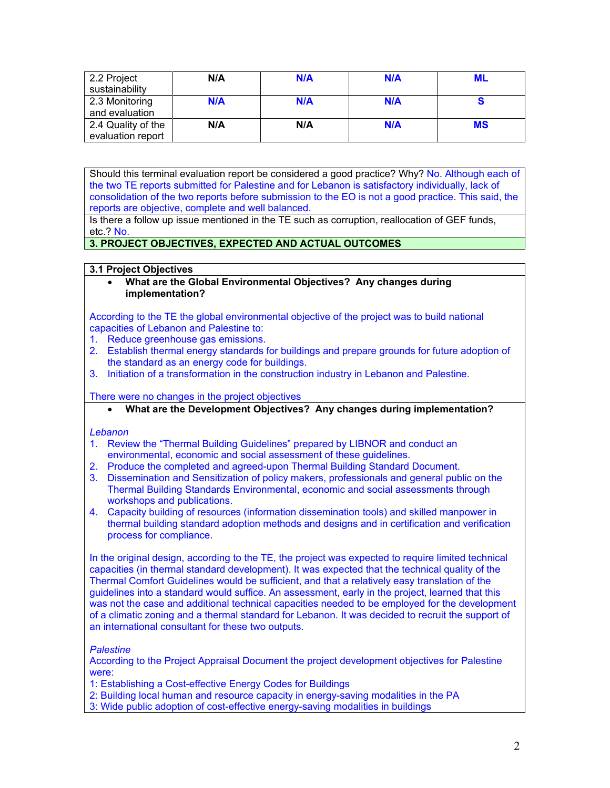| 2.2 Project        | N/A        | N/A | N/A | <b>ML</b> |
|--------------------|------------|-----|-----|-----------|
| sustainability     |            |     |     |           |
| 2.3 Monitoring     | <b>N/A</b> | N/A | N/A |           |
| and evaluation     |            |     |     |           |
| 2.4 Quality of the | N/A        | N/A | N/A | <b>MS</b> |
| evaluation report  |            |     |     |           |

Should this terminal evaluation report be considered a good practice? Why? No. Although each of the two TE reports submitted for Palestine and for Lebanon is satisfactory individually, lack of consolidation of the two reports before submission to the EO is not a good practice. This said, the reports are objective, complete and well balanced.

Is there a follow up issue mentioned in the TE such as corruption, reallocation of GEF funds, etc.? No.

## **3. PROJECT OBJECTIVES, EXPECTED AND ACTUAL OUTCOMES**

## **3.1 Project Objectives**

• **What are the Global Environmental Objectives? Any changes during implementation?**

According to the TE the global environmental objective of the project was to build national capacities of Lebanon and Palestine to:

- 1. Reduce greenhouse gas emissions.
- 2. Establish thermal energy standards for buildings and prepare grounds for future adoption of the standard as an energy code for buildings.
- 3. Initiation of a transformation in the construction industry in Lebanon and Palestine.

There were no changes in the project objectives

• **What are the Development Objectives? Any changes during implementation?**

## *Lebanon*

- 1. Review the "Thermal Building Guidelines" prepared by LIBNOR and conduct an environmental, economic and social assessment of these guidelines.
- 2. Produce the completed and agreed-upon Thermal Building Standard Document.
- 3. Dissemination and Sensitization of policy makers, professionals and general public on the Thermal Building Standards Environmental, economic and social assessments through workshops and publications.
- 4. Capacity building of resources (information dissemination tools) and skilled manpower in thermal building standard adoption methods and designs and in certification and verification process for compliance.

In the original design, according to the TE, the project was expected to require limited technical capacities (in thermal standard development). It was expected that the technical quality of the Thermal Comfort Guidelines would be sufficient, and that a relatively easy translation of the guidelines into a standard would suffice. An assessment, early in the project, learned that this was not the case and additional technical capacities needed to be employed for the development of a climatic zoning and a thermal standard for Lebanon. It was decided to recruit the support of an international consultant for these two outputs.

## *Palestine*

According to the Project Appraisal Document the project development objectives for Palestine were:

- 1: Establishing a Cost-effective Energy Codes for Buildings
- 2: Building local human and resource capacity in energy-saving modalities in the PA
- 3: Wide public adoption of cost-effective energy-saving modalities in buildings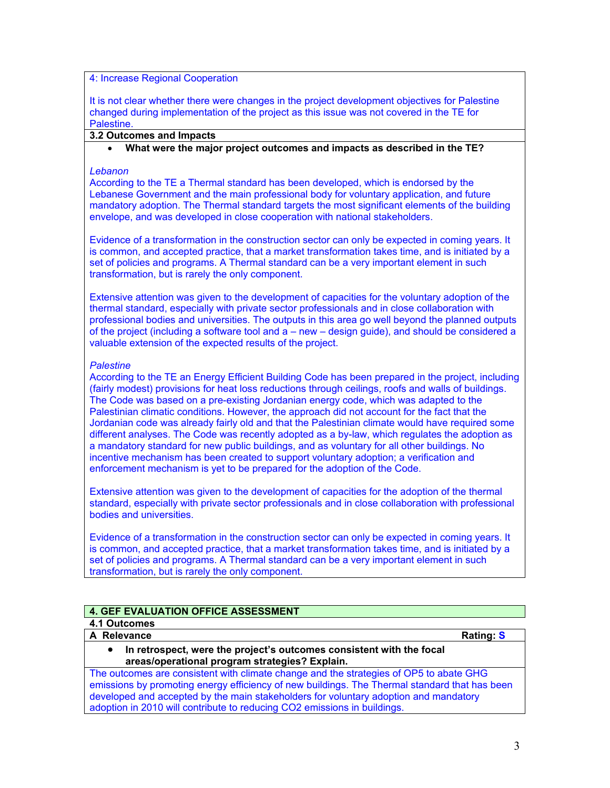## 4: Increase Regional Cooperation

It is not clear whether there were changes in the project development objectives for Palestine changed during implementation of the project as this issue was not covered in the TE for Palestine.

## **3.2 Outcomes and Impacts**

## • **What were the major project outcomes and impacts as described in the TE?**

#### *Lebanon*

According to the TE a Thermal standard has been developed, which is endorsed by the Lebanese Government and the main professional body for voluntary application, and future mandatory adoption. The Thermal standard targets the most significant elements of the building envelope, and was developed in close cooperation with national stakeholders.

Evidence of a transformation in the construction sector can only be expected in coming years. It is common, and accepted practice, that a market transformation takes time, and is initiated by a set of policies and programs. A Thermal standard can be a very important element in such transformation, but is rarely the only component.

Extensive attention was given to the development of capacities for the voluntary adoption of the thermal standard, especially with private sector professionals and in close collaboration with professional bodies and universities. The outputs in this area go well beyond the planned outputs of the project (including a software tool and a – new – design guide), and should be considered a valuable extension of the expected results of the project.

#### *Palestine*

According to the TE an Energy Efficient Building Code has been prepared in the project, including (fairly modest) provisions for heat loss reductions through ceilings, roofs and walls of buildings. The Code was based on a pre-existing Jordanian energy code, which was adapted to the Palestinian climatic conditions. However, the approach did not account for the fact that the Jordanian code was already fairly old and that the Palestinian climate would have required some different analyses. The Code was recently adopted as a by-law, which regulates the adoption as a mandatory standard for new public buildings, and as voluntary for all other buildings. No incentive mechanism has been created to support voluntary adoption; a verification and enforcement mechanism is yet to be prepared for the adoption of the Code.

Extensive attention was given to the development of capacities for the adoption of the thermal standard, especially with private sector professionals and in close collaboration with professional bodies and universities.

Evidence of a transformation in the construction sector can only be expected in coming years. It is common, and accepted practice, that a market transformation takes time, and is initiated by a set of policies and programs. A Thermal standard can be a very important element in such transformation, but is rarely the only component.

# **4. GEF EVALUATION OFFICE ASSESSMENT**

#### **4.1 Outcomes A** Relevance Rating: S

• **In retrospect, were the project's outcomes consistent with the focal areas/operational program strategies? Explain.**

The outcomes are consistent with climate change and the strategies of OP5 to abate GHG emissions by promoting energy efficiency of new buildings. The Thermal standard that has been developed and accepted by the main stakeholders for voluntary adoption and mandatory adoption in 2010 will contribute to reducing CO2 emissions in buildings.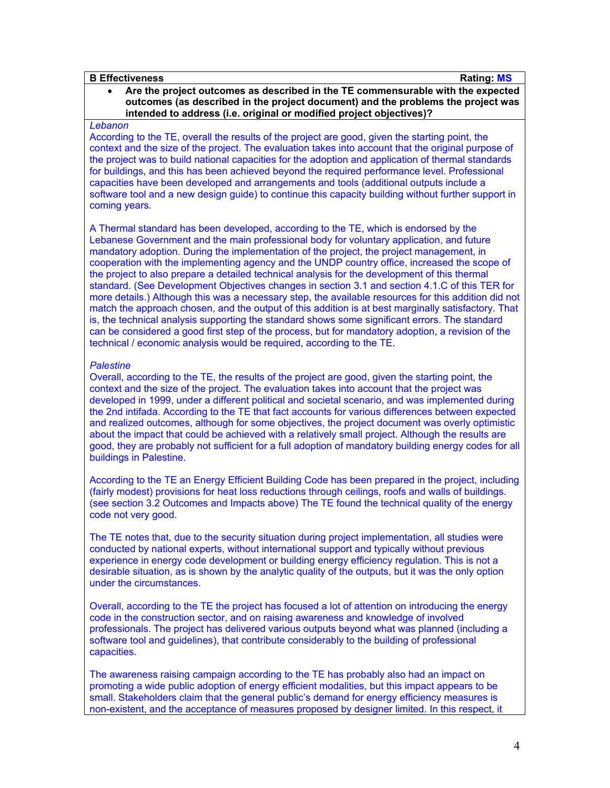### **B Effectiveness Rating: MS**

## • **Are the project outcomes as described in the TE commensurable with the expected outcomes (as described in the project document) and the problems the project was intended to address (i.e. original or modified project objectives)?**

#### *Lebanon*

According to the TE, overall the results of the project are good, given the starting point, the context and the size of the project. The evaluation takes into account that the original purpose of the project was to build national capacities for the adoption and application of thermal standards for buildings, and this has been achieved beyond the required performance level. Professional capacities have been developed and arrangements and tools (additional outputs include a software tool and a new design guide) to continue this capacity building without further support in coming years.

A Thermal standard has been developed, according to the TE, which is endorsed by the Lebanese Government and the main professional body for voluntary application, and future mandatory adoption. During the implementation of the project, the project management, in cooperation with the implementing agency and the UNDP country office, increased the scope of the project to also prepare a detailed technical analysis for the development of this thermal standard. (See Development Objectives changes in section 3.1 and section 4.1.C of this TER for more details.) Although this was a necessary step, the available resources for this addition did not match the approach chosen, and the output of this addition is at best marginally satisfactory. That is, the technical analysis supporting the standard shows some significant errors. The standard can be considered a good first step of the process, but for mandatory adoption, a revision of the technical / economic analysis would be required, according to the TE.

### *Palestine*

Overall, according to the TE, the results of the project are good, given the starting point, the context and the size of the project. The evaluation takes into account that the project was developed in 1999, under a different political and societal scenario, and was implemented during the 2nd intifada. According to the TE that fact accounts for various differences between expected and realized outcomes, although for some objectives, the project document was overly optimistic about the impact that could be achieved with a relatively small project. Although the results are good, they are probably not sufficient for a full adoption of mandatory building energy codes for all buildings in Palestine.

According to the TE an Energy Efficient Building Code has been prepared in the project, including (fairly modest) provisions for heat loss reductions through ceilings, roofs and walls of buildings. (see section 3.2 Outcomes and Impacts above) The TE found the technical quality of the energy code not very good.

The TE notes that, due to the security situation during project implementation, all studies were conducted by national experts, without international support and typically without previous experience in energy code development or building energy efficiency regulation. This is not a desirable situation, as is shown by the analytic quality of the outputs, but it was the only option under the circumstances.

Overall, according to the TE the project has focused a lot of attention on introducing the energy code in the construction sector, and on raising awareness and knowledge of involved professionals. The project has delivered various outputs beyond what was planned (including a software tool and guidelines), that contribute considerably to the building of professional capacities.

The awareness raising campaign according to the TE has probably also had an impact on promoting a wide public adoption of energy efficient modalities, but this impact appears to be small. Stakeholders claim that the general public's demand for energy efficiency measures is non-existent, and the acceptance of measures proposed by designer limited. In this respect, it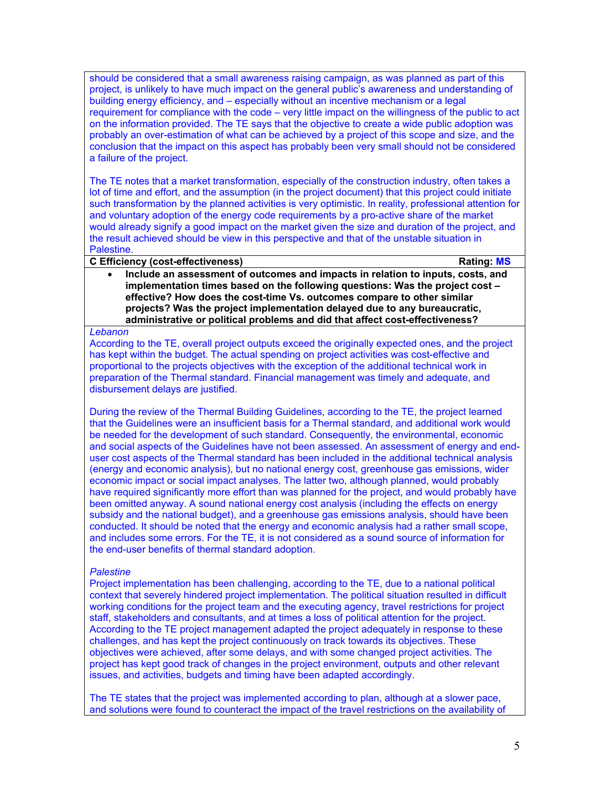should be considered that a small awareness raising campaign, as was planned as part of this project, is unlikely to have much impact on the general public's awareness and understanding of building energy efficiency, and – especially without an incentive mechanism or a legal requirement for compliance with the code – very little impact on the willingness of the public to act on the information provided. The TE says that the objective to create a wide public adoption was probably an over-estimation of what can be achieved by a project of this scope and size, and the conclusion that the impact on this aspect has probably been very small should not be considered a failure of the project.

The TE notes that a market transformation, especially of the construction industry, often takes a lot of time and effort, and the assumption (in the project document) that this project could initiate such transformation by the planned activities is very optimistic. In reality, professional attention for and voluntary adoption of the energy code requirements by a pro-active share of the market would already signify a good impact on the market given the size and duration of the project, and the result achieved should be view in this perspective and that of the unstable situation in Palestine.

### **C Efficiency (cost-effectiveness) Rating: MS**

• **Include an assessment of outcomes and impacts in relation to inputs, costs, and implementation times based on the following questions: Was the project cost – effective? How does the cost-time Vs. outcomes compare to other similar projects? Was the project implementation delayed due to any bureaucratic, administrative or political problems and did that affect cost-effectiveness?**

#### *Lebanon*

According to the TE, overall project outputs exceed the originally expected ones, and the project has kept within the budget. The actual spending on project activities was cost-effective and proportional to the projects objectives with the exception of the additional technical work in preparation of the Thermal standard. Financial management was timely and adequate, and disbursement delays are justified.

During the review of the Thermal Building Guidelines, according to the TE, the project learned that the Guidelines were an insufficient basis for a Thermal standard, and additional work would be needed for the development of such standard. Consequently, the environmental, economic and social aspects of the Guidelines have not been assessed. An assessment of energy and enduser cost aspects of the Thermal standard has been included in the additional technical analysis (energy and economic analysis), but no national energy cost, greenhouse gas emissions, wider economic impact or social impact analyses. The latter two, although planned, would probably have required significantly more effort than was planned for the project, and would probably have been omitted anyway. A sound national energy cost analysis (including the effects on energy subsidy and the national budget), and a greenhouse gas emissions analysis, should have been conducted. It should be noted that the energy and economic analysis had a rather small scope, and includes some errors. For the TE, it is not considered as a sound source of information for the end-user benefits of thermal standard adoption.

## *Palestine*

Project implementation has been challenging, according to the TE, due to a national political context that severely hindered project implementation. The political situation resulted in difficult working conditions for the project team and the executing agency, travel restrictions for project staff, stakeholders and consultants, and at times a loss of political attention for the project. According to the TE project management adapted the project adequately in response to these challenges, and has kept the project continuously on track towards its objectives. These objectives were achieved, after some delays, and with some changed project activities. The project has kept good track of changes in the project environment, outputs and other relevant issues, and activities, budgets and timing have been adapted accordingly.

The TE states that the project was implemented according to plan, although at a slower pace, and solutions were found to counteract the impact of the travel restrictions on the availability of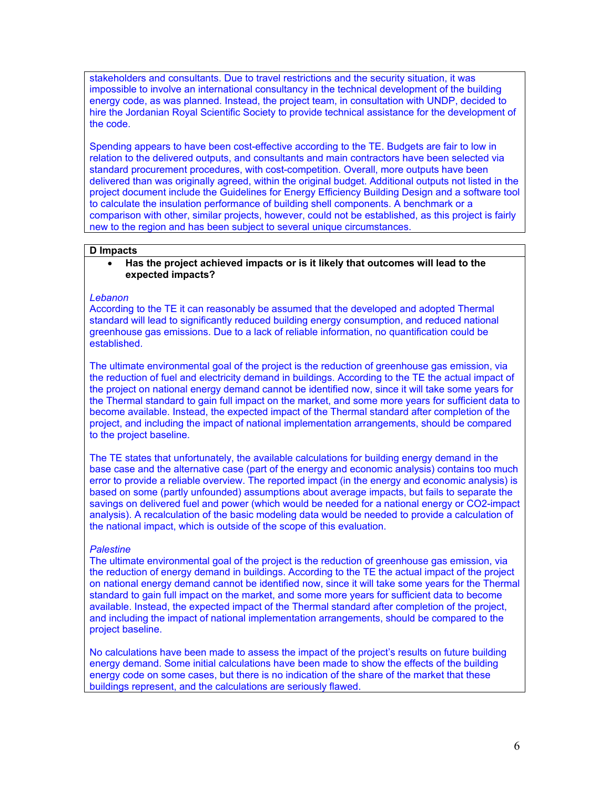stakeholders and consultants. Due to travel restrictions and the security situation, it was impossible to involve an international consultancy in the technical development of the building energy code, as was planned. Instead, the project team, in consultation with UNDP, decided to hire the Jordanian Royal Scientific Society to provide technical assistance for the development of the code.

Spending appears to have been cost-effective according to the TE. Budgets are fair to low in relation to the delivered outputs, and consultants and main contractors have been selected via standard procurement procedures, with cost-competition. Overall, more outputs have been delivered than was originally agreed, within the original budget. Additional outputs not listed in the project document include the Guidelines for Energy Efficiency Building Design and a software tool to calculate the insulation performance of building shell components. A benchmark or a comparison with other, similar projects, however, could not be established, as this project is fairly new to the region and has been subject to several unique circumstances.

#### **D Impacts**

• **Has the project achieved impacts or is it likely that outcomes will lead to the expected impacts?**

#### *Lebanon*

According to the TE it can reasonably be assumed that the developed and adopted Thermal standard will lead to significantly reduced building energy consumption, and reduced national greenhouse gas emissions. Due to a lack of reliable information, no quantification could be established.

The ultimate environmental goal of the project is the reduction of greenhouse gas emission, via the reduction of fuel and electricity demand in buildings. According to the TE the actual impact of the project on national energy demand cannot be identified now, since it will take some years for the Thermal standard to gain full impact on the market, and some more years for sufficient data to become available. Instead, the expected impact of the Thermal standard after completion of the project, and including the impact of national implementation arrangements, should be compared to the project baseline.

The TE states that unfortunately, the available calculations for building energy demand in the base case and the alternative case (part of the energy and economic analysis) contains too much error to provide a reliable overview. The reported impact (in the energy and economic analysis) is based on some (partly unfounded) assumptions about average impacts, but fails to separate the savings on delivered fuel and power (which would be needed for a national energy or CO2-impact analysis). A recalculation of the basic modeling data would be needed to provide a calculation of the national impact, which is outside of the scope of this evaluation.

### *Palestine*

The ultimate environmental goal of the project is the reduction of greenhouse gas emission, via the reduction of energy demand in buildings. According to the TE the actual impact of the project on national energy demand cannot be identified now, since it will take some years for the Thermal standard to gain full impact on the market, and some more years for sufficient data to become available. Instead, the expected impact of the Thermal standard after completion of the project, and including the impact of national implementation arrangements, should be compared to the project baseline.

No calculations have been made to assess the impact of the project's results on future building energy demand. Some initial calculations have been made to show the effects of the building energy code on some cases, but there is no indication of the share of the market that these buildings represent, and the calculations are seriously flawed.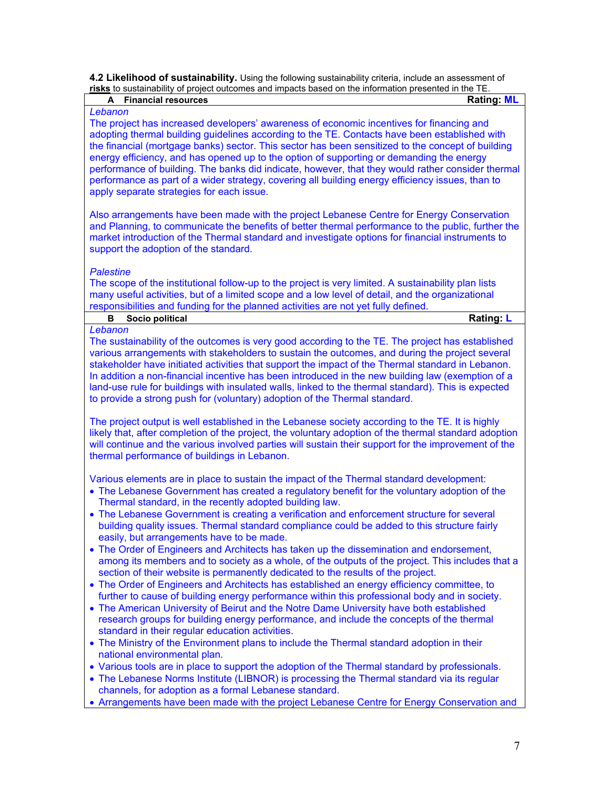**4.2 Likelihood of sustainability.** Using the following sustainability criteria, include an assessment of **risks** to sustainability of project outcomes and impacts based on the information presented in the TE.

| A Financial resources                                                                                                                                                                                    | <b>Rating: ML</b> |
|----------------------------------------------------------------------------------------------------------------------------------------------------------------------------------------------------------|-------------------|
| Lebanon                                                                                                                                                                                                  |                   |
| The project has increased developers' awareness of economic incentives for financing and                                                                                                                 |                   |
| adopting thermal building guidelines according to the TE. Contacts have been established with                                                                                                            |                   |
| the financial (mortgage banks) sector. This sector has been sensitized to the concept of building                                                                                                        |                   |
| energy efficiency, and has opened up to the option of supporting or demanding the energy                                                                                                                 |                   |
| performance of building. The banks did indicate, however, that they would rather consider thermal                                                                                                        |                   |
| performance as part of a wider strategy, covering all building energy efficiency issues, than to                                                                                                         |                   |
| apply separate strategies for each issue.                                                                                                                                                                |                   |
|                                                                                                                                                                                                          |                   |
| Also arrangements have been made with the project Lebanese Centre for Energy Conservation                                                                                                                |                   |
| and Planning, to communicate the benefits of better thermal performance to the public, further the                                                                                                       |                   |
| market introduction of the Thermal standard and investigate options for financial instruments to                                                                                                         |                   |
| support the adoption of the standard.                                                                                                                                                                    |                   |
|                                                                                                                                                                                                          |                   |
| <b>Palestine</b>                                                                                                                                                                                         |                   |
|                                                                                                                                                                                                          |                   |
| The scope of the institutional follow-up to the project is very limited. A sustainability plan lists<br>many useful activities, but of a limited scope and a low level of detail, and the organizational |                   |
|                                                                                                                                                                                                          |                   |
| responsibilities and funding for the planned activities are not yet fully defined.                                                                                                                       |                   |
| Socio political<br>в                                                                                                                                                                                     | <b>Rating: L</b>  |
| Lebanon                                                                                                                                                                                                  |                   |
| The sustainability of the outcomes is very good according to the TE. The project has established                                                                                                         |                   |
| various arrangements with stakeholders to sustain the outcomes, and during the project several                                                                                                           |                   |
| stakeholder have initiated activities that support the impact of the Thermal standard in Lebanon.                                                                                                        |                   |
| In addition a non-financial incentive has been introduced in the new building law (exemption of a                                                                                                        |                   |
| land-use rule for buildings with insulated walls, linked to the thermal standard). This is expected                                                                                                      |                   |
| to provide a strong push for (voluntary) adoption of the Thermal standard.                                                                                                                               |                   |
|                                                                                                                                                                                                          |                   |
| The project output is well established in the Lebanese society according to the TE. It is highly                                                                                                         |                   |
| likely that, after completion of the project, the voluntary adoption of the thermal standard adoption                                                                                                    |                   |
| will continue and the various involved parties will sustain their support for the improvement of the                                                                                                     |                   |
| thermal performance of buildings in Lebanon.                                                                                                                                                             |                   |
|                                                                                                                                                                                                          |                   |
| Various elements are in place to sustain the impact of the Thermal standard development:                                                                                                                 |                   |
| • The Lebanese Government has created a regulatory benefit for the voluntary adoption of the                                                                                                             |                   |
| Thermal standard, in the recently adopted building law.                                                                                                                                                  |                   |
| • The Lebanese Government is creating a verification and enforcement structure for several                                                                                                               |                   |
| building quality issues. Thermal standard compliance could be added to this structure fairly                                                                                                             |                   |
| easily, but arrangements have to be made.                                                                                                                                                                |                   |
| • The Order of Engineers and Architects has taken up the dissemination and endorsement,                                                                                                                  |                   |
| among its members and to society as a whole, of the outputs of the project. This includes that a                                                                                                         |                   |
| section of their website is permanently dedicated to the results of the project.                                                                                                                         |                   |
| • The Order of Engineers and Architects has established an energy efficiency committee, to                                                                                                               |                   |
| further to cause of building energy performance within this professional body and in society.                                                                                                            |                   |
| • The American University of Beirut and the Notre Dame University have both established                                                                                                                  |                   |
| research groups for building energy performance, and include the concepts of the thermal                                                                                                                 |                   |
| standard in their regular education activities.                                                                                                                                                          |                   |
| • The Ministry of the Environment plans to include the Thermal standard adoption in their                                                                                                                |                   |
|                                                                                                                                                                                                          |                   |
| national environmental plan.                                                                                                                                                                             |                   |
| • Various tools are in place to support the adoption of the Thermal standard by professionals.                                                                                                           |                   |
| • The Lebanese Norms Institute (LIBNOR) is processing the Thermal standard via its regular                                                                                                               |                   |
| channels, for adoption as a formal Lebanese standard.                                                                                                                                                    |                   |
| • Arrangements have been made with the project Lebanese Centre for Energy Conservation and                                                                                                               |                   |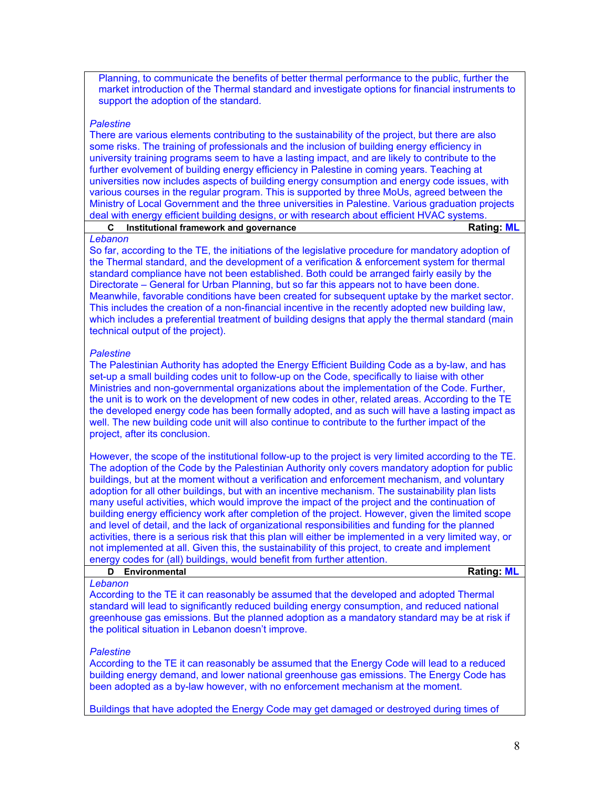Planning, to communicate the benefits of better thermal performance to the public, further the market introduction of the Thermal standard and investigate options for financial instruments to support the adoption of the standard.

## *Palestine*

There are various elements contributing to the sustainability of the project, but there are also some risks. The training of professionals and the inclusion of building energy efficiency in university training programs seem to have a lasting impact, and are likely to contribute to the further evolvement of building energy efficiency in Palestine in coming years. Teaching at universities now includes aspects of building energy consumption and energy code issues, with various courses in the regular program. This is supported by three MoUs, agreed between the Ministry of Local Government and the three universities in Palestine. Various graduation projects deal with energy efficient building designs, or with research about efficient HVAC systems.

|                 | Institutional framework and governance | <b>Rating: ML</b> |
|-----------------|----------------------------------------|-------------------|
| <i>L</i> ahanon |                                        |                   |

## *Lebanon*

So far, according to the TE, the initiations of the legislative procedure for mandatory adoption of the Thermal standard, and the development of a verification & enforcement system for thermal standard compliance have not been established. Both could be arranged fairly easily by the Directorate – General for Urban Planning, but so far this appears not to have been done. Meanwhile, favorable conditions have been created for subsequent uptake by the market sector. This includes the creation of a non-financial incentive in the recently adopted new building law, which includes a preferential treatment of building designs that apply the thermal standard (main technical output of the project).

### *Palestine*

The Palestinian Authority has adopted the Energy Efficient Building Code as a by-law, and has set-up a small building codes unit to follow-up on the Code, specifically to liaise with other Ministries and non-governmental organizations about the implementation of the Code. Further, the unit is to work on the development of new codes in other, related areas. According to the TE the developed energy code has been formally adopted, and as such will have a lasting impact as well. The new building code unit will also continue to contribute to the further impact of the project, after its conclusion.

However, the scope of the institutional follow-up to the project is very limited according to the TE. The adoption of the Code by the Palestinian Authority only covers mandatory adoption for public buildings, but at the moment without a verification and enforcement mechanism, and voluntary adoption for all other buildings, but with an incentive mechanism. The sustainability plan lists many useful activities, which would improve the impact of the project and the continuation of building energy efficiency work after completion of the project. However, given the limited scope and level of detail, and the lack of organizational responsibilities and funding for the planned activities, there is a serious risk that this plan will either be implemented in a very limited way, or not implemented at all. Given this, the sustainability of this project, to create and implement energy codes for (all) buildings, would benefit from further attention.

| <b>Environmental</b> | <b>Rating: ML</b> |
|----------------------|-------------------|
| Lebanon              |                   |

According to the TE it can reasonably be assumed that the developed and adopted Thermal standard will lead to significantly reduced building energy consumption, and reduced national greenhouse gas emissions. But the planned adoption as a mandatory standard may be at risk if the political situation in Lebanon doesn't improve.

### *Palestine*

According to the TE it can reasonably be assumed that the Energy Code will lead to a reduced building energy demand, and lower national greenhouse gas emissions. The Energy Code has been adopted as a by-law however, with no enforcement mechanism at the moment.

Buildings that have adopted the Energy Code may get damaged or destroyed during times of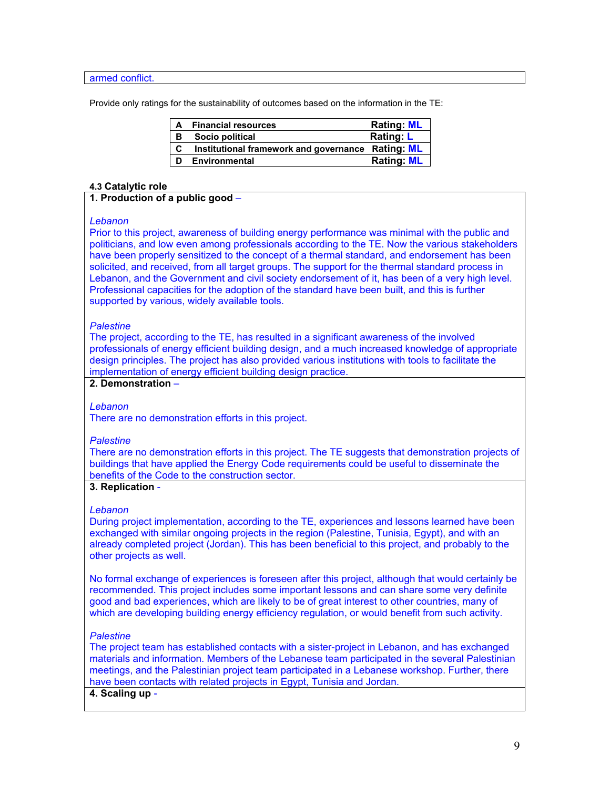armed conflict.

Provide only ratings for the sustainability of outcomes based on the information in the TE:

| A | <b>Financial resources</b>                        | <b>Rating: ML</b> |
|---|---------------------------------------------------|-------------------|
| в | Socio political                                   | <b>Rating: L</b>  |
| C | Institutional framework and governance Rating: ML |                   |
| D | Environmental                                     | <b>Rating: ML</b> |

## **4.3 Catalytic role**

## **1. Production of a public good** –

#### *Lebanon*

Prior to this project, awareness of building energy performance was minimal with the public and politicians, and low even among professionals according to the TE. Now the various stakeholders have been properly sensitized to the concept of a thermal standard, and endorsement has been solicited, and received, from all target groups. The support for the thermal standard process in Lebanon, and the Government and civil society endorsement of it, has been of a very high level. Professional capacities for the adoption of the standard have been built, and this is further supported by various, widely available tools.

## *Palestine*

The project, according to the TE, has resulted in a significant awareness of the involved professionals of energy efficient building design, and a much increased knowledge of appropriate design principles. The project has also provided various institutions with tools to facilitate the implementation of energy efficient building design practice.

## **2. Demonstration** –

### *Lebanon*

There are no demonstration efforts in this project.

### *Palestine*

There are no demonstration efforts in this project. The TE suggests that demonstration projects of buildings that have applied the Energy Code requirements could be useful to disseminate the benefits of the Code to the construction sector.

## **3. Replication** -

### *Lebanon*

During project implementation, according to the TE, experiences and lessons learned have been exchanged with similar ongoing projects in the region (Palestine, Tunisia, Egypt), and with an already completed project (Jordan). This has been beneficial to this project, and probably to the other projects as well.

No formal exchange of experiences is foreseen after this project, although that would certainly be recommended. This project includes some important lessons and can share some very definite good and bad experiences, which are likely to be of great interest to other countries, many of which are developing building energy efficiency regulation, or would benefit from such activity.

### *Palestine*

The project team has established contacts with a sister-project in Lebanon, and has exchanged materials and information. Members of the Lebanese team participated in the several Palestinian meetings, and the Palestinian project team participated in a Lebanese workshop. Further, there have been contacts with related projects in Egypt, Tunisia and Jordan.

## **4. Scaling up** -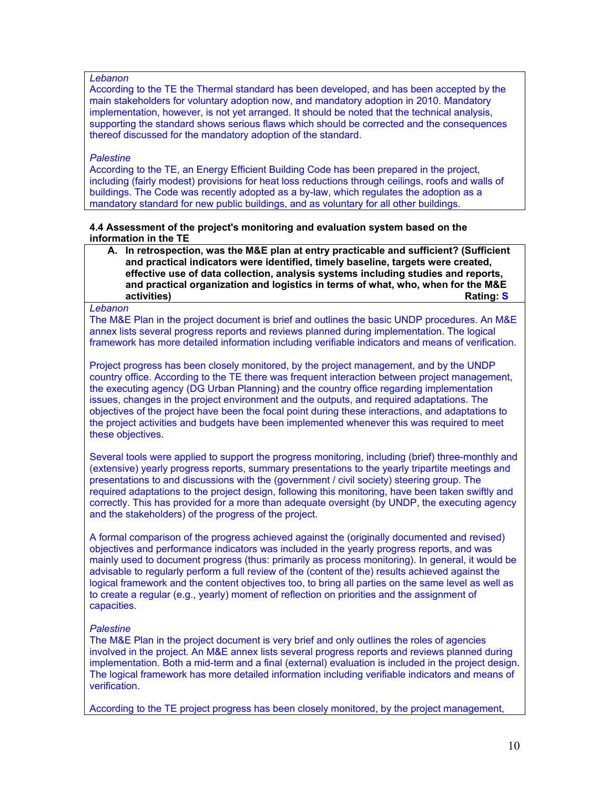## *Lebanon*

According to the TE the Thermal standard has been developed, and has been accepted by the main stakeholders for voluntary adoption now, and mandatory adoption in 2010. Mandatory implementation, however, is not yet arranged. It should be noted that the technical analysis, supporting the standard shows serious flaws which should be corrected and the consequences thereof discussed for the mandatory adoption of the standard.

## *Palestine*

According to the TE, an Energy Efficient Building Code has been prepared in the project, including (fairly modest) provisions for heat loss reductions through ceilings, roofs and walls of buildings. The Code was recently adopted as a by-law, which regulates the adoption as a mandatory standard for new public buildings, and as voluntary for all other buildings.

### **4.4 Assessment of the project's monitoring and evaluation system based on the information in the TE**

**A. In retrospection, was the M&E plan at entry practicable and sufficient? (Sufficient and practical indicators were identified, timely baseline, targets were created, effective use of data collection, analysis systems including studies and reports, and practical organization and logistics in terms of what, who, when for the M&E activities) Rating: S Rating: S Rating: S** 

#### *Lebanon*

The M&E Plan in the project document is brief and outlines the basic UNDP procedures. An M&E annex lists several progress reports and reviews planned during implementation. The logical framework has more detailed information including verifiable indicators and means of verification.

Project progress has been closely monitored, by the project management, and by the UNDP country office. According to the TE there was frequent interaction between project management, the executing agency (DG Urban Planning) and the country office regarding implementation issues, changes in the project environment and the outputs, and required adaptations. The objectives of the project have been the focal point during these interactions, and adaptations to the project activities and budgets have been implemented whenever this was required to meet these objectives.

Several tools were applied to support the progress monitoring, including (brief) three-monthly and (extensive) yearly progress reports, summary presentations to the yearly tripartite meetings and presentations to and discussions with the (government / civil society) steering group. The required adaptations to the project design, following this monitoring, have been taken swiftly and correctly. This has provided for a more than adequate oversight (by UNDP, the executing agency and the stakeholders) of the progress of the project.

A formal comparison of the progress achieved against the (originally documented and revised) objectives and performance indicators was included in the yearly progress reports, and was mainly used to document progress (thus: primarily as process monitoring). In general, it would be advisable to regularly perform a full review of the (content of the) results achieved against the logical framework and the content objectives too, to bring all parties on the same level as well as to create a regular (e.g., yearly) moment of reflection on priorities and the assignment of capacities.

## *Palestine*

The M&E Plan in the project document is very brief and only outlines the roles of agencies involved in the project. An M&E annex lists several progress reports and reviews planned during implementation. Both a mid-term and a final (external) evaluation is included in the project design. The logical framework has more detailed information including verifiable indicators and means of verification.

According to the TE project progress has been closely monitored, by the project management,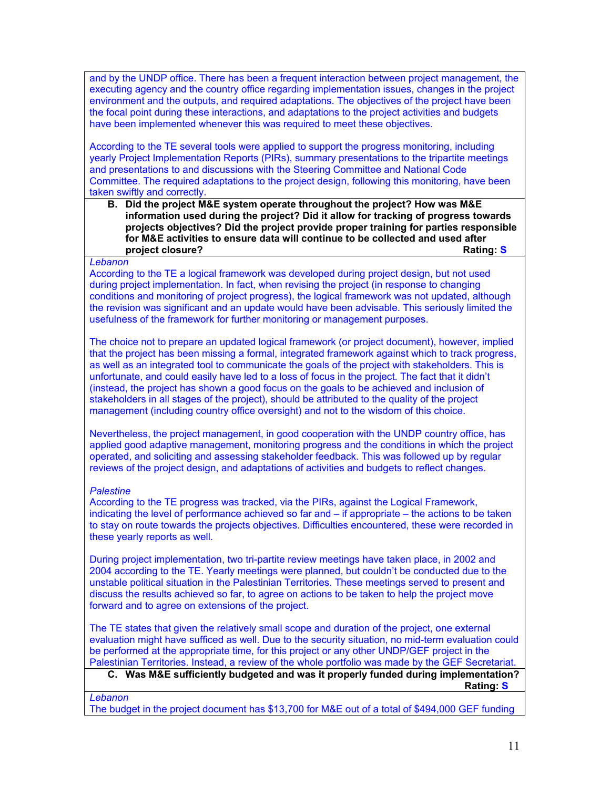and by the UNDP office. There has been a frequent interaction between project management, the executing agency and the country office regarding implementation issues, changes in the project environment and the outputs, and required adaptations. The objectives of the project have been the focal point during these interactions, and adaptations to the project activities and budgets have been implemented whenever this was required to meet these objectives.

According to the TE several tools were applied to support the progress monitoring, including yearly Project Implementation Reports (PIRs), summary presentations to the tripartite meetings and presentations to and discussions with the Steering Committee and National Code Committee. The required adaptations to the project design, following this monitoring, have been taken swiftly and correctly.

**B. Did the project M&E system operate throughout the project? How was M&E information used during the project? Did it allow for tracking of progress towards projects objectives? Did the project provide proper training for parties responsible for M&E activities to ensure data will continue to be collected and used after project closure? Rating: S**

### *Lebanon*

According to the TE a logical framework was developed during project design, but not used during project implementation. In fact, when revising the project (in response to changing conditions and monitoring of project progress), the logical framework was not updated, although the revision was significant and an update would have been advisable. This seriously limited the usefulness of the framework for further monitoring or management purposes.

The choice not to prepare an updated logical framework (or project document), however, implied that the project has been missing a formal, integrated framework against which to track progress, as well as an integrated tool to communicate the goals of the project with stakeholders. This is unfortunate, and could easily have led to a loss of focus in the project. The fact that it didn't (instead, the project has shown a good focus on the goals to be achieved and inclusion of stakeholders in all stages of the project), should be attributed to the quality of the project management (including country office oversight) and not to the wisdom of this choice.

Nevertheless, the project management, in good cooperation with the UNDP country office, has applied good adaptive management, monitoring progress and the conditions in which the project operated, and soliciting and assessing stakeholder feedback. This was followed up by regular reviews of the project design, and adaptations of activities and budgets to reflect changes.

### *Palestine*

According to the TE progress was tracked, via the PIRs, against the Logical Framework, indicating the level of performance achieved so far and – if appropriate – the actions to be taken to stay on route towards the projects objectives. Difficulties encountered, these were recorded in these yearly reports as well.

During project implementation, two tri-partite review meetings have taken place, in 2002 and 2004 according to the TE. Yearly meetings were planned, but couldn't be conducted due to the unstable political situation in the Palestinian Territories. These meetings served to present and discuss the results achieved so far, to agree on actions to be taken to help the project move forward and to agree on extensions of the project.

The TE states that given the relatively small scope and duration of the project, one external evaluation might have sufficed as well. Due to the security situation, no mid-term evaluation could be performed at the appropriate time, for this project or any other UNDP/GEF project in the Palestinian Territories. Instead, a review of the whole portfolio was made by the GEF Secretariat.

## **C. Was M&E sufficiently budgeted and was it properly funded during implementation? Rating: S** Rating: S Rating: S Rating: S Rating: S Rating: S Rating: S Rating: S Rating: S Rating: S Rating: S Rating: S Rating: S  $\sim$

*Lebanon* The budget in the project document has \$13,700 for M&E out of a total of \$494,000 GEF funding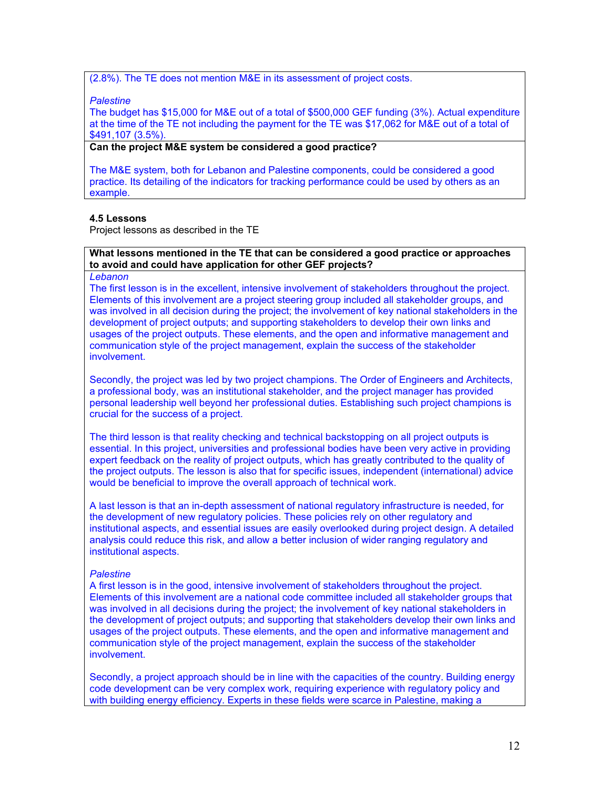(2.8%). The TE does not mention M&E in its assessment of project costs.

#### *Palestine*

The budget has \$15,000 for M&E out of a total of \$500,000 GEF funding (3%). Actual expenditure at the time of the TE not including the payment for the TE was \$17,062 for M&E out of a total of \$491,107 (3.5%).

## **Can the project M&E system be considered a good practice?**

The M&E system, both for Lebanon and Palestine components, could be considered a good practice. Its detailing of the indicators for tracking performance could be used by others as an example.

## **4.5 Lessons**

Project lessons as described in the TE

## **What lessons mentioned in the TE that can be considered a good practice or approaches to avoid and could have application for other GEF projects?**

#### *Lebanon*

The first lesson is in the excellent, intensive involvement of stakeholders throughout the project. Elements of this involvement are a project steering group included all stakeholder groups, and was involved in all decision during the project; the involvement of key national stakeholders in the development of project outputs; and supporting stakeholders to develop their own links and usages of the project outputs. These elements, and the open and informative management and communication style of the project management, explain the success of the stakeholder involvement.

Secondly, the project was led by two project champions. The Order of Engineers and Architects, a professional body, was an institutional stakeholder, and the project manager has provided personal leadership well beyond her professional duties. Establishing such project champions is crucial for the success of a project.

The third lesson is that reality checking and technical backstopping on all project outputs is essential. In this project, universities and professional bodies have been very active in providing expert feedback on the reality of project outputs, which has greatly contributed to the quality of the project outputs. The lesson is also that for specific issues, independent (international) advice would be beneficial to improve the overall approach of technical work.

A last lesson is that an in-depth assessment of national regulatory infrastructure is needed, for the development of new regulatory policies. These policies rely on other regulatory and institutional aspects, and essential issues are easily overlooked during project design. A detailed analysis could reduce this risk, and allow a better inclusion of wider ranging regulatory and institutional aspects.

### *Palestine*

A first lesson is in the good, intensive involvement of stakeholders throughout the project. Elements of this involvement are a national code committee included all stakeholder groups that was involved in all decisions during the project; the involvement of key national stakeholders in the development of project outputs; and supporting that stakeholders develop their own links and usages of the project outputs. These elements, and the open and informative management and communication style of the project management, explain the success of the stakeholder involvement.

Secondly, a project approach should be in line with the capacities of the country. Building energy code development can be very complex work, requiring experience with regulatory policy and with building energy efficiency. Experts in these fields were scarce in Palestine, making a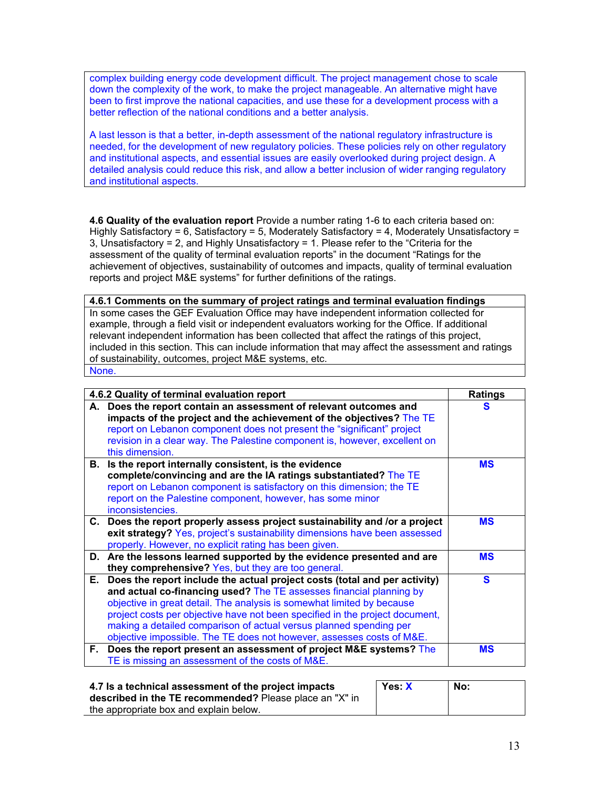complex building energy code development difficult. The project management chose to scale down the complexity of the work, to make the project manageable. An alternative might have been to first improve the national capacities, and use these for a development process with a better reflection of the national conditions and a better analysis.

A last lesson is that a better, in-depth assessment of the national regulatory infrastructure is needed, for the development of new regulatory policies. These policies rely on other regulatory and institutional aspects, and essential issues are easily overlooked during project design. A detailed analysis could reduce this risk, and allow a better inclusion of wider ranging regulatory and institutional aspects.

**4.6 Quality of the evaluation report** Provide a number rating 1-6 to each criteria based on: Highly Satisfactory = 6, Satisfactory = 5, Moderately Satisfactory = 4, Moderately Unsatisfactory = 3, Unsatisfactory = 2, and Highly Unsatisfactory = 1. Please refer to the "Criteria for the assessment of the quality of terminal evaluation reports" in the document "Ratings for the achievement of objectives, sustainability of outcomes and impacts, quality of terminal evaluation reports and project M&E systems" for further definitions of the ratings.

**4.6.1 Comments on the summary of project ratings and terminal evaluation findings** In some cases the GEF Evaluation Office may have independent information collected for example, through a field visit or independent evaluators working for the Office. If additional relevant independent information has been collected that affect the ratings of this project, included in this section. This can include information that may affect the assessment and ratings of sustainability, outcomes, project M&E systems, etc. None.

|     | 4.6.2 Quality of terminal evaluation report                                                                                                                                                                                                                                                                                                                                                                                                               | <b>Ratings</b> |
|-----|-----------------------------------------------------------------------------------------------------------------------------------------------------------------------------------------------------------------------------------------------------------------------------------------------------------------------------------------------------------------------------------------------------------------------------------------------------------|----------------|
|     | A. Does the report contain an assessment of relevant outcomes and<br>impacts of the project and the achievement of the objectives? The TE<br>report on Lebanon component does not present the "significant" project<br>revision in a clear way. The Palestine component is, however, excellent on<br>this dimension.                                                                                                                                      | s              |
|     | B. Is the report internally consistent, is the evidence<br>complete/convincing and are the IA ratings substantiated? The TE<br>report on Lebanon component is satisfactory on this dimension; the TE<br>report on the Palestine component, however, has some minor<br>inconsistencies.                                                                                                                                                                    | <b>MS</b>      |
|     | C. Does the report properly assess project sustainability and /or a project<br>exit strategy? Yes, project's sustainability dimensions have been assessed<br>properly. However, no explicit rating has been given.                                                                                                                                                                                                                                        | <b>MS</b>      |
|     | D. Are the lessons learned supported by the evidence presented and are<br>they comprehensive? Yes, but they are too general.                                                                                                                                                                                                                                                                                                                              | <b>MS</b>      |
| Е., | Does the report include the actual project costs (total and per activity)<br>and actual co-financing used? The TE assesses financial planning by<br>objective in great detail. The analysis is somewhat limited by because<br>project costs per objective have not been specified in the project document,<br>making a detailed comparison of actual versus planned spending per<br>objective impossible. The TE does not however, assesses costs of M&E. | S              |
| F.  | Does the report present an assessment of project M&E systems? The<br>TE is missing an assessment of the costs of M&E.                                                                                                                                                                                                                                                                                                                                     | <b>MS</b>      |

| 4.7 Is a technical assessment of the project impacts    | Yes X | No: |
|---------------------------------------------------------|-------|-----|
| described in the TE recommended? Please place an "X" in |       |     |
| the appropriate box and explain below.                  |       |     |